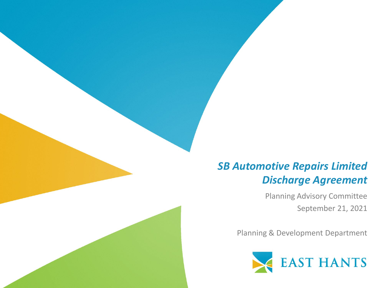#### *SB Automotive Repairs Limited Discharge Agreement*

Planning Advisory Committee September 21, 2021

Planning & Development Department

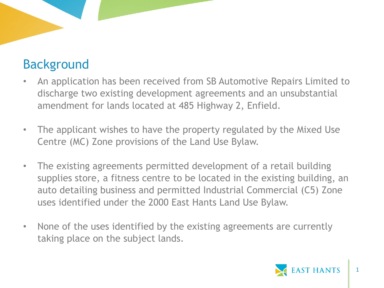# Background

- An application has been received from SB Automotive Repairs Limited to discharge two existing development agreements and an unsubstantial amendment for lands located at 485 Highway 2, Enfield.
- The applicant wishes to have the property regulated by the Mixed Use Centre (MC) Zone provisions of the Land Use Bylaw.
- The existing agreements permitted development of a retail building supplies store, a fitness centre to be located in the existing building, an auto detailing business and permitted Industrial Commercial (C5) Zone uses identified under the 2000 East Hants Land Use Bylaw.
- None of the uses identified by the existing agreements are currently taking place on the subject lands.

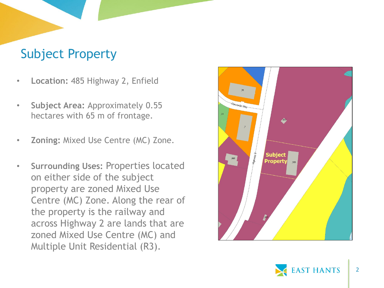### Subject Property

- **Location:** 485 Highway 2, Enfield
- **Subject Area:** Approximately 0.55 hectares with 65 m of frontage.
- **Zoning:** Mixed Use Centre (MC) Zone.
- **Surrounding Uses:** Properties located on either side of the subject property are zoned Mixed Use Centre (MC) Zone. Along the rear of the property is the railway and across Highway 2 are lands that are zoned Mixed Use Centre (MC) and Multiple Unit Residential (R3).



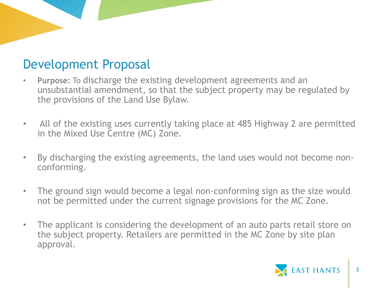### Development Proposal

- **Purpose:** To discharge the existing development agreements and an unsubstantial amendment, so that the subject property may be regulated by the provisions of the Land Use Bylaw.
- All of the existing uses currently taking place at 485 Highway 2 are permitted in the Mixed Use Centre (MC) Zone.
- By discharging the existing agreements, the land uses would not become nonconforming.
- The ground sign would become a legal non-conforming sign as the size would not be permitted under the current signage provisions for the MC Zone.
- The applicant is considering the development of an auto parts retail store on the subject property. Retailers are permitted in the MC Zone by site plan approval.

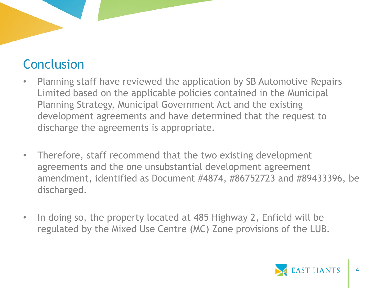# Conclusion

- Planning staff have reviewed the application by SB Automotive Repairs Limited based on the applicable policies contained in the Municipal Planning Strategy, Municipal Government Act and the existing development agreements and have determined that the request to discharge the agreements is appropriate.
- Therefore, staff recommend that the two existing development agreements and the one unsubstantial development agreement amendment, identified as Document #4874, #86752723 and #89433396, be discharged.
- In doing so, the property located at 485 Highway 2, Enfield will be regulated by the Mixed Use Centre (MC) Zone provisions of the LUB.